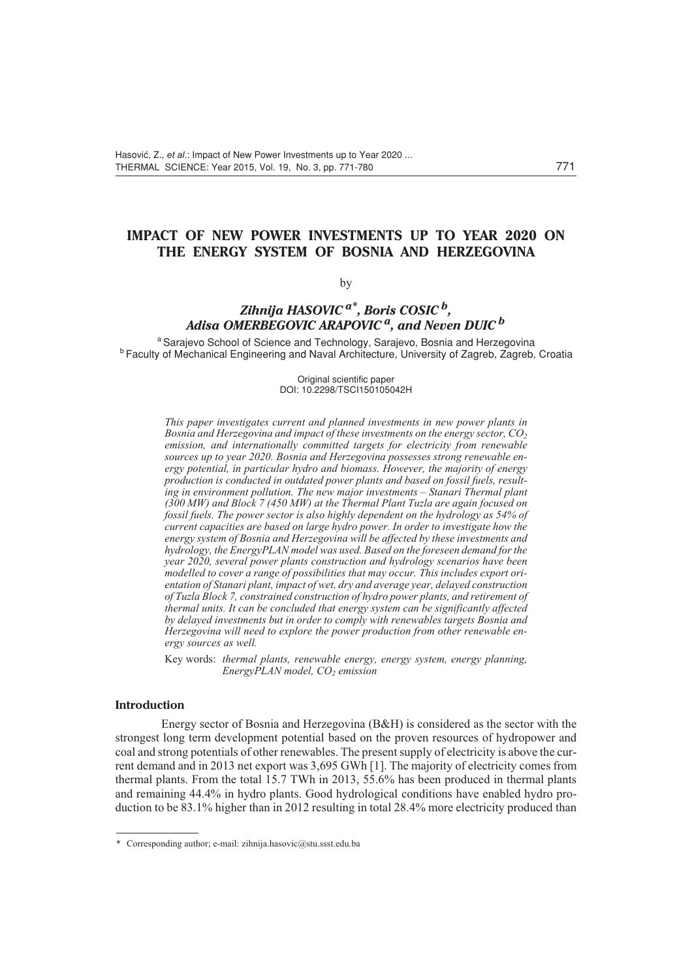## **IMPACT OF NEW POWER INVESTMENTS UP TO YEAR 2020 ON THE ENERGY SYSTEM OF BOSNIA AND HERZEGOVINA**

#### by

# *Zihnija HASOVIC a\*, Boris COSIC b, Adisa OMERBEGOVIC ARAPOVIC a, and Neven DUIC <sup>b</sup>*

<sup>a</sup> Sarajevo School of Science and Technology, Sarajevo, Bosnia and Herzegovina **b Faculty of Mechanical Engineering and Naval Architecture, University of Zagreb, Zagreb, Croatia** 

> Original scientific paper DOI: 10.2298/TSCI150105042H

*This paper investigates current and planned investments in new power plants in Bosnia and Herzegovina and impact of these investments on the energy sector, CO<sub>2</sub> emission, and internationally committed targets for electricity from renewable sources up to year 2020. Bosnia and Herzegovina possesses strong renewable energy potential, in particular hydro and biomass. However, the majority of energy production is conducted in outdated power plants and based on fossil fuels, resulting in environment pollution. The new major investments – Stanari Thermal plant (300 MW) and Block 7 (450 MW) at the Thermal Plant Tuzla are again focused on fossil fuels. The power sector is also highly dependent on the hydrology as 54% of current capacities are based on large hydro power. In order to investigate how the energy system of Bosnia and Herzegovina will be affected by these investments and hydrology, the EnergyPLAN model was used. Based on the foreseen demand for the year 2020, several power plants construction and hydrology scenarios have been modelled to cover a range of possibilities that may occur. This includes export orientation of Stanari plant, impact of wet, dry and average year, delayed construction of Tuzla Block 7, constrained construction of hydro power plants, and retirement of thermal units. It can be concluded that energy system can be significantly affected by delayed investments but in order to comply with renewables targets Bosnia and Herzegovina will need to explore the power production from other renewable energy sources as well.*

Key words: *thermal plants, renewable energy, energy system, energy planning, EnergyPLAN model, CO<sub>2</sub> emission* 

## **Introduction**

Energy sector of Bosnia and Herzegovina (B&H) is considered as the sector with the strongest long term development potential based on the proven resources of hydropower and coal and strong potentials of other renewables. The present supply of electricity is above the current demand and in 2013 net export was 3,695 GWh [1]. The majority of electricity comes from thermal plants. From the total 15.7 TWh in 2013, 55.6% has been produced in thermal plants and remaining 44.4% in hydro plants. Good hydrological conditions have enabled hydro production to be 83.1% higher than in 2012 resulting in total 28.4% more electricity produced than

<sup>\*</sup> Corresponding author; e-mail: zihnija.hasovic@stu.ssst.edu.ba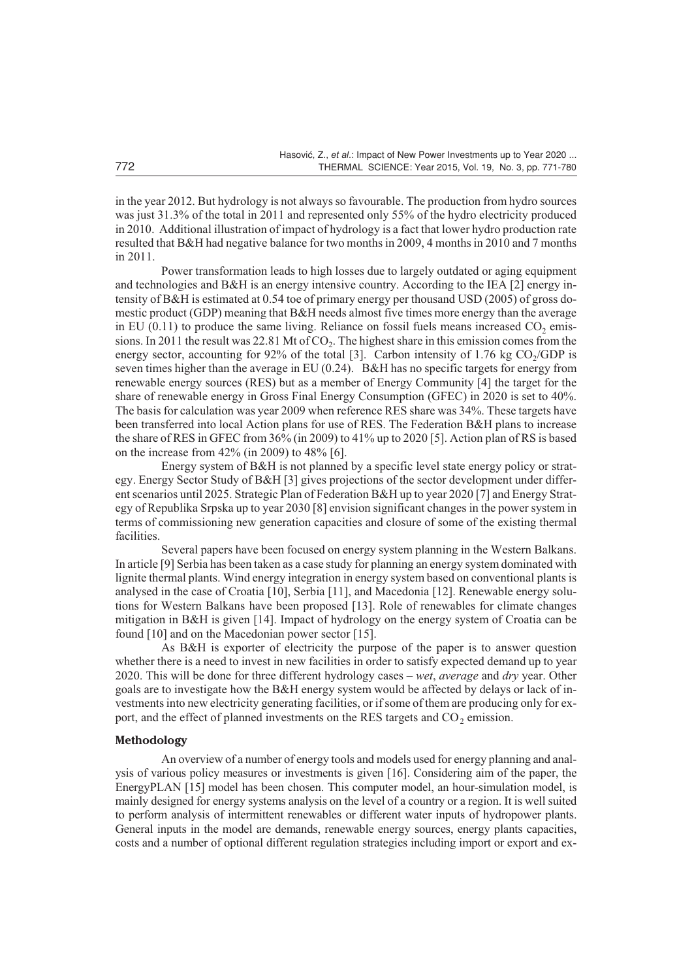in the year 2012. But hydrology is not always so favourable. The production from hydro sources was just 31.3% of the total in 2011 and represented only 55% of the hydro electricity produced in 2010. Additional illustration of impact of hydrology is a fact that lower hydro production rate resulted that B&H had negative balance for two months in 2009, 4 months in 2010 and 7 months in 2011.

Power transformation leads to high losses due to largely outdated or aging equipment and technologies and B&H is an energy intensive country. According to the IEA [2] energy intensity of B&H is estimated at 0.54 toe of primary energy per thousand USD (2005) of gross domestic product (GDP) meaning that B&H needs almost five times more energy than the average in EU  $(0.11)$  to produce the same living. Reliance on fossil fuels means increased  $CO<sub>2</sub>$  emissions. In 2011 the result was 22.81 Mt of  $CO<sub>2</sub>$ . The highest share in this emission comes from the energy sector, accounting for 92% of the total [3]. Carbon intensity of 1.76 kg  $CO<sub>2</sub>/GDP$  is seven times higher than the average in EU (0.24). B&H has no specific targets for energy from renewable energy sources (RES) but as a member of Energy Community [4] the target for the share of renewable energy in Gross Final Energy Consumption (GFEC) in 2020 is set to 40%. The basis for calculation was year 2009 when reference RES share was 34%. These targets have been transferred into local Action plans for use of RES. The Federation B&H plans to increase the share of RES in GFEC from 36% (in 2009) to 41% up to 2020 [5]. Action plan of RS is based on the increase from 42% (in 2009) to 48% [6].

Energy system of B&H is not planned by a specific level state energy policy or strategy. Energy Sector Study of B&H [3] gives projections of the sector development under different scenarios until 2025. Strategic Plan of Federation B&H up to year 2020 [7] and Energy Strategy of Republika Srpska up to year 2030 [8] envision significant changes in the power system in terms of commissioning new generation capacities and closure of some of the existing thermal facilities.

Several papers have been focused on energy system planning in the Western Balkans. In article [9] Serbia has been taken as a case study for planning an energy system dominated with lignite thermal plants. Wind energy integration in energy system based on conventional plants is analysed in the case of Croatia [10], Serbia [11], and Macedonia [12]. Renewable energy solutions for Western Balkans have been proposed [13]. Role of renewables for climate changes mitigation in B&H is given [14]. Impact of hydrology on the energy system of Croatia can be found [10] and on the Macedonian power sector [15].

As B&H is exporter of electricity the purpose of the paper is to answer question whether there is a need to invest in new facilities in order to satisfy expected demand up to year 2020. This will be done for three different hydrology cases – *wet*, *average* and *dry* year. Other goals are to investigate how the B&H energy system would be affected by delays or lack of investments into new electricity generating facilities, or if some of them are producing only for export, and the effect of planned investments on the RES targets and  $CO<sub>2</sub>$  emission.

#### **Methodology**

An overview of a number of energy tools and models used for energy planning and analysis of various policy measures or investments is given [16]. Considering aim of the paper, the EnergyPLAN [15] model has been chosen. This computer model, an hour-simulation model, is mainly designed for energy systems analysis on the level of a country or a region. It is well suited to perform analysis of intermittent renewables or different water inputs of hydropower plants. General inputs in the model are demands, renewable energy sources, energy plants capacities, costs and a number of optional different regulation strategies including import or export and ex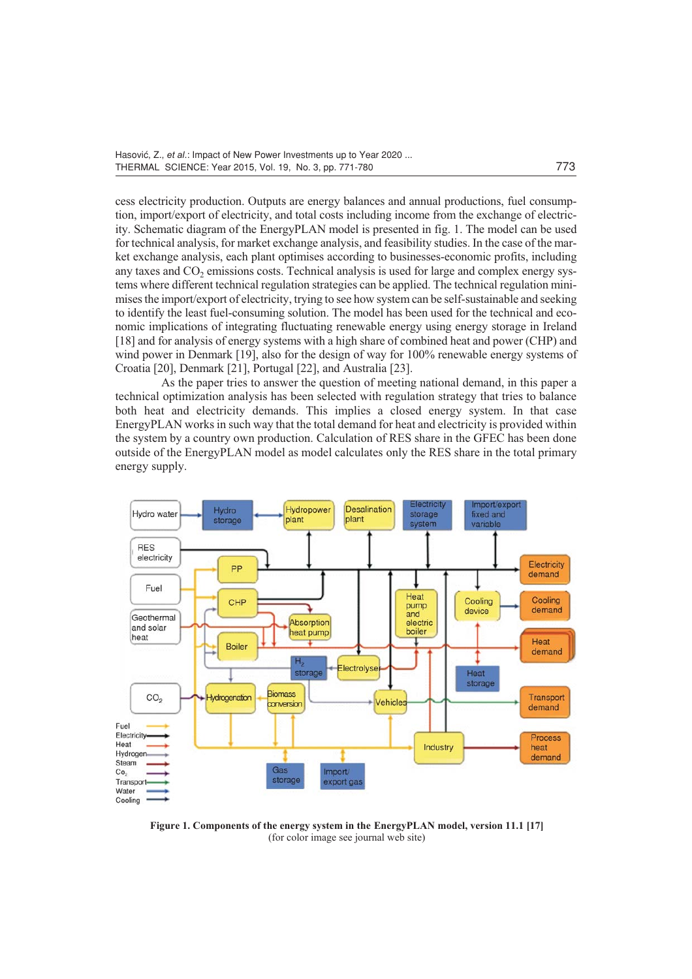cess electricity production. Outputs are energy balances and annual productions, fuel consumption, import/export of electricity, and total costs including income from the exchange of electricity. Schematic diagram of the EnergyPLAN model is presented in fig. 1. The model can be used for technical analysis, for market exchange analysis, and feasibility studies. In the case of the market exchange analysis, each plant optimises according to businesses-economic profits, including any taxes and  $CO<sub>2</sub>$  emissions costs. Technical analysis is used for large and complex energy systems where different technical regulation strategies can be applied. The technical regulation minimises the import/export of electricity, trying to see how system can be self-sustainable and seeking to identify the least fuel-consuming solution. The model has been used for the technical and economic implications of integrating fluctuating renewable energy using energy storage in Ireland [18] and for analysis of energy systems with a high share of combined heat and power (CHP) and wind power in Denmark [19], also for the design of way for 100% renewable energy systems of Croatia [20], Denmark [21], Portugal [22], and Australia [23].

As the paper tries to answer the question of meeting national demand, in this paper a technical optimization analysis has been selected with regulation strategy that tries to balance both heat and electricity demands. This implies a closed energy system. In that case EnergyPLAN works in such way that the total demand for heat and electricity is provided within the system by a country own production. Calculation of RES share in the GFEC has been done outside of the EnergyPLAN model as model calculates only the RES share in the total primary energy supply.



**Figure 1. Components of the energy system in the EnergyPLAN model, version 11.1 [17]** (for color image see journal web site)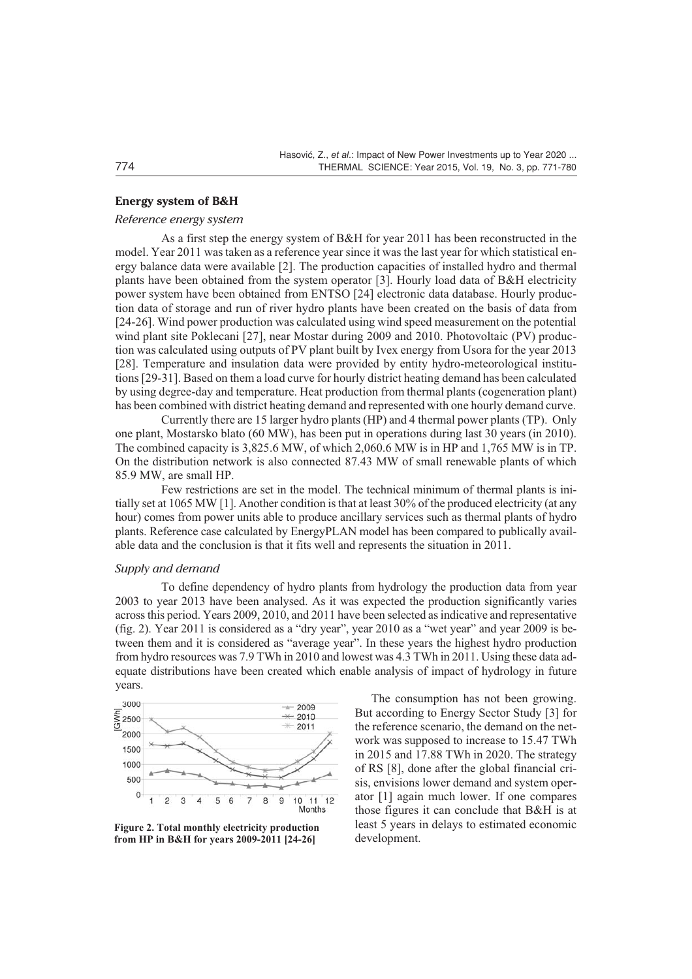#### **Energy system of B&H**

## *Reference energy system*

As a first step the energy system of B&H for year 2011 has been reconstructed in the model. Year 2011 was taken as a reference year since it was the last year for which statistical energy balance data were available [2]. The production capacities of installed hydro and thermal plants have been obtained from the system operator [3]. Hourly load data of B&H electricity power system have been obtained from ENTSO [24] electronic data database. Hourly production data of storage and run of river hydro plants have been created on the basis of data from [24-26]. Wind power production was calculated using wind speed measurement on the potential wind plant site Poklecani [27], near Mostar during 2009 and 2010. Photovoltaic (PV) production was calculated using outputs of PV plant built by Ivex energy from Usora for the year 2013 [28]. Temperature and insulation data were provided by entity hydro-meteorological institutions [29-31]. Based on them a load curve for hourly district heating demand has been calculated by using degree-day and temperature. Heat production from thermal plants (cogeneration plant) has been combined with district heating demand and represented with one hourly demand curve.

Currently there are 15 larger hydro plants (HP) and 4 thermal power plants (TP). Only one plant, Mostarsko blato (60 MW), has been put in operations during last 30 years (in 2010). The combined capacity is 3,825.6 MW, of which 2,060.6 MW is in HP and 1,765 MW is in TP. On the distribution network is also connected 87.43 MW of small renewable plants of which 85.9 MW, are small HP.

Few restrictions are set in the model. The technical minimum of thermal plants is initially set at 1065 MW [1]. Another condition is that at least 30% of the produced electricity (at any hour) comes from power units able to produce ancillary services such as thermal plants of hydro plants. Reference case calculated by EnergyPLAN model has been compared to publically available data and the conclusion is that it fits well and represents the situation in 2011.

## *Supply and demand*

To define dependency of hydro plants from hydrology the production data from year 2003 to year 2013 have been analysed. As it was expected the production significantly varies across this period. Years 2009, 2010, and 2011 have been selected as indicative and representative (fig. 2). Year 2011 is considered as a "dry year", year 2010 as a "wet year" and year 2009 is between them and it is considered as "average year". In these years the highest hydro production from hydro resources was 7.9 TWh in 2010 and lowest was 4.3 TWh in 2011. Using these data adequate distributions have been created which enable analysis of impact of hydrology in future years.



**Figure 2. Total monthly electricity production from HP in B&H for years 2009-2011 [24-26]**

The consumption has not been growing. But according to Energy Sector Study [3] for the reference scenario, the demand on the network was supposed to increase to 15.47 TWh in 2015 and 17.88 TWh in 2020. The strategy of RS [8], done after the global financial crisis, envisions lower demand and system operator [1] again much lower. If one compares those figures it can conclude that B&H is at least 5 years in delays to estimated economic development.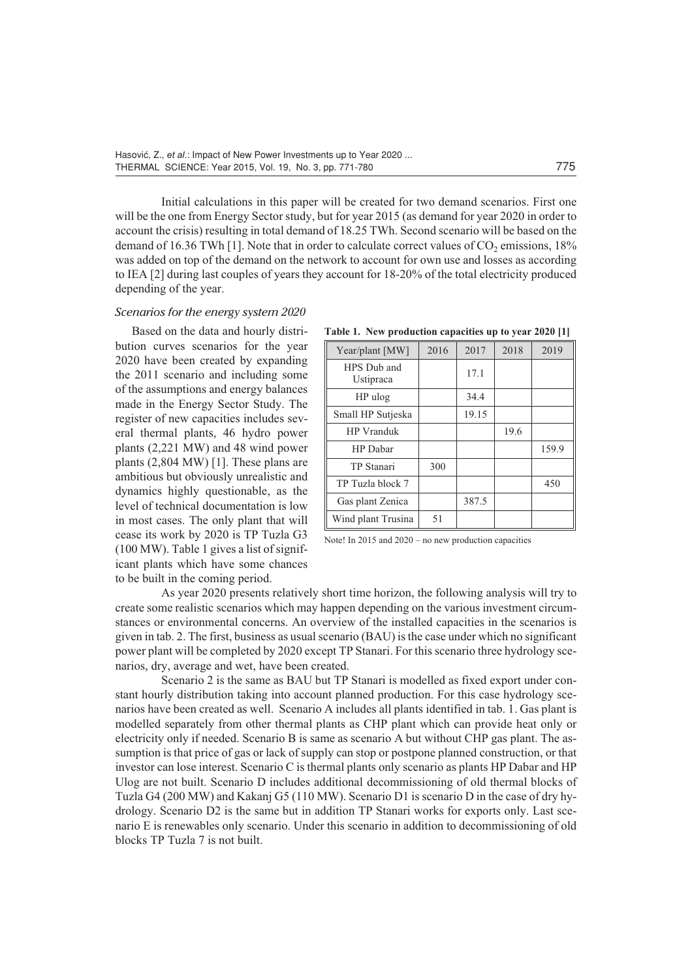Initial calculations in this paper will be created for two demand scenarios. First one will be the one from Energy Sector study, but for year 2015 (as demand for year 2020 in order to account the crisis) resulting in total demand of 18.25 TWh. Second scenario will be based on the demand of 16.36 TWh [1]. Note that in order to calculate correct values of  $CO<sub>2</sub>$  emissions, 18% was added on top of the demand on the network to account for own use and losses as according to IEA [2] during last couples of years they account for 18-20% of the total electricity produced depending of the year.

## *Scenarios for the energy system 2020*

Based on the data and hourly distribution curves scenarios for the year 2020 have been created by expanding the 2011 scenario and including some of the assumptions and energy balances made in the Energy Sector Study. The register of new capacities includes several thermal plants, 46 hydro power plants (2,221 MW) and 48 wind power plants (2,804 MW) [1]. These plans are ambitious but obviously unrealistic and dynamics highly questionable, as the level of technical documentation is low in most cases. The only plant that will cease its work by 2020 is TP Tuzla G3 (100 MW). Table 1 gives a list of significant plants which have some chances to be built in the coming period.

| Table 1. New production capacities up to year 2020 [1] |      |      |              |  |  |  |  |  |  |  |
|--------------------------------------------------------|------|------|--------------|--|--|--|--|--|--|--|
| Year/plant [MW]                                        | 2016 | 2017 | 2018<br>2019 |  |  |  |  |  |  |  |
| T T R R T                                              |      |      |              |  |  |  |  |  |  |  |

| $1 \text{ val}$ pittle $1 \cdot 1 \cdot 1$ | -010 |       |      | ---   |
|--------------------------------------------|------|-------|------|-------|
| HPS Dub and<br>Ustipraca                   |      | 17.1  |      |       |
| HP ulog                                    |      | 34.4  |      |       |
| Small HP Sutjeska                          |      | 19.15 |      |       |
| <b>HP</b> Vranduk                          |      |       | 19.6 |       |
| HP Dabar                                   |      |       |      | 159.9 |
| TP Stanari                                 | 300  |       |      |       |
| TP Tuzla block 7                           |      |       |      | 450   |
| Gas plant Zenica                           |      | 387.5 |      |       |
| Wind plant Trusina                         | 51   |       |      |       |

Note! In 2015 and 2020 – no new production capacities

As year 2020 presents relatively short time horizon, the following analysis will try to create some realistic scenarios which may happen depending on the various investment circumstances or environmental concerns. An overview of the installed capacities in the scenarios is given in tab. 2. The first, business as usual scenario (BAU) is the case under which no significant power plant will be completed by 2020 except TP Stanari. For this scenario three hydrology scenarios, dry, average and wet, have been created.

Scenario 2 is the same as BAU but TP Stanari is modelled as fixed export under constant hourly distribution taking into account planned production. For this case hydrology scenarios have been created as well. Scenario A includes all plants identified in tab. 1. Gas plant is modelled separately from other thermal plants as CHP plant which can provide heat only or electricity only if needed. Scenario B is same as scenario A but without CHP gas plant. The assumption is that price of gas or lack of supply can stop or postpone planned construction, or that investor can lose interest. Scenario C is thermal plants only scenario as plants HP Dabar and HP Ulog are not built. Scenario D includes additional decommissioning of old thermal blocks of Tuzla G4 (200 MW) and Kakanj G5 (110 MW). Scenario D1 is scenario D in the case of dry hydrology. Scenario D2 is the same but in addition TP Stanari works for exports only. Last scenario E is renewables only scenario. Under this scenario in addition to decommissioning of old blocks TP Tuzla 7 is not built.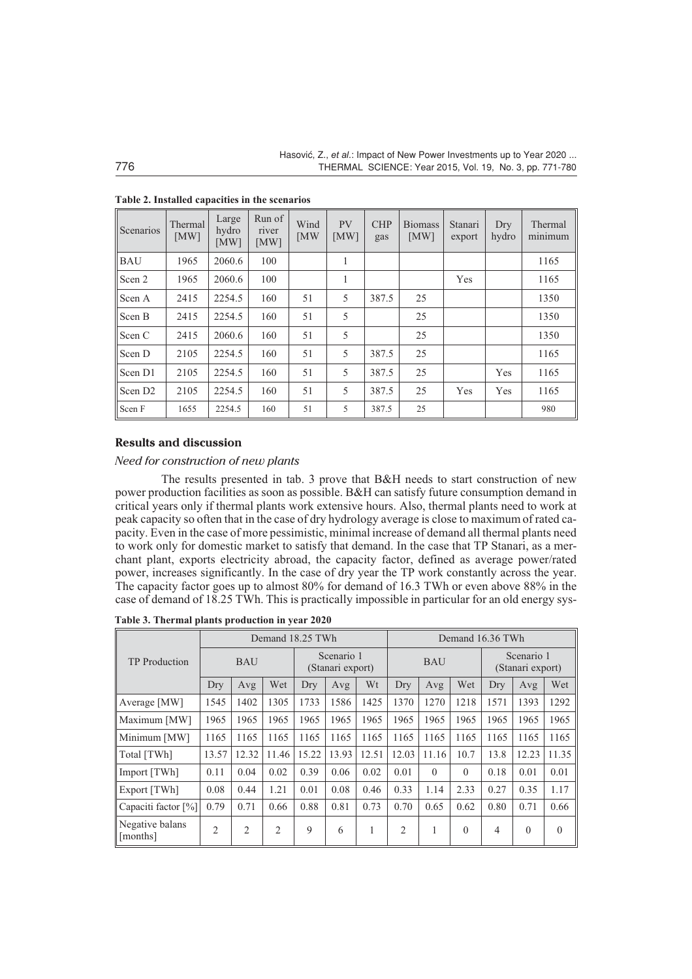| Scenarios           | Thermal<br>[MW] | Large<br>hydro<br>[MW] | Run of<br>river<br>[MW] | Wind<br><b>IMW</b> | <b>PV</b><br>[MW] | <b>CHP</b><br>gas | <b>Biomass</b><br>[MW] | Stanari<br>export | Dry<br>hydro | Thermal<br>minimum |
|---------------------|-----------------|------------------------|-------------------------|--------------------|-------------------|-------------------|------------------------|-------------------|--------------|--------------------|
| <b>BAU</b>          | 1965            | 2060.6                 | 100                     |                    | 1                 |                   |                        |                   |              | 1165               |
| Scen 2              | 1965            | 2060.6                 | 100                     |                    | 1                 |                   |                        | Yes               |              | 1165               |
| Scen A              | 2415            | 2254.5                 | 160                     | 51                 | 5                 | 387.5             | 25                     |                   |              | 1350               |
| Scen B              | 2415            | 2254.5                 | 160                     | 51                 | 5                 |                   | 25                     |                   |              | 1350               |
| Scen C              | 2415            | 2060.6                 | 160                     | 51                 | 5                 |                   | 25                     |                   |              | 1350               |
| Scen D              | 2105            | 2254.5                 | 160                     | 51                 | 5                 | 387.5             | 25                     |                   |              | 1165               |
| Scen D1             | 2105            | 2254.5                 | 160                     | 51                 | 5                 | 387.5             | 25                     |                   | Yes          | 1165               |
| Scen D <sub>2</sub> | 2105            | 2254.5                 | 160                     | 51                 | 5                 | 387.5             | 25                     | Yes               | Yes          | 1165               |
| Scen F              | 1655            | 2254.5                 | 160                     | 51                 | 5                 | 387.5             | 25                     |                   |              | 980                |

**Table 2. Installed capacities in the scenarios**

#### **Results and discussion**

#### *Need for construction of new plants*

The results presented in tab. 3 prove that B&H needs to start construction of new power production facilities as soon as possible. B&H can satisfy future consumption demand in critical years only if thermal plants work extensive hours. Also, thermal plants need to work at peak capacity so often that in the case of dry hydrology average is close to maximum of rated capacity. Even in the case of more pessimistic, minimal increase of demand all thermal plants need to work only for domestic market to satisfy that demand. In the case that TP Stanari, as a merchant plant, exports electricity abroad, the capacity factor, defined as average power/rated power, increases significantly. In the case of dry year the TP work constantly across the year. The capacity factor goes up to almost 80% for demand of 16.3 TWh or even above 88% in the case of demand of 18.25 TWh. This is practically impossible in particular for an old energy sys-

**Table 3. Thermal plants production in year 2020**

|                             | Demand 18.25 TWh |                |                |                                |       |       | Demand 16.36 TWh |          |          |                                |          |          |
|-----------------------------|------------------|----------------|----------------|--------------------------------|-------|-------|------------------|----------|----------|--------------------------------|----------|----------|
| <b>TP</b> Production        | <b>BAU</b>       |                |                | Scenario 1<br>(Stanari export) |       |       | <b>BAU</b>       |          |          | Scenario 1<br>(Stanari export) |          |          |
|                             | Dry              | Avg            | Wet            | Dry                            | Avg   | Wt    | Dry              | Avg      | Wet      | Dry                            | Avg      | Wet      |
| Average [MW]                | 1545             | 1402           | 1305           | 1733                           | 1586  | 1425  | 1370             | 1270     | 1218     | 1571                           | 1393     | 1292     |
| Maximum [MW]                | 1965             | 1965           | 1965           | 1965                           | 1965  | 1965  | 1965             | 1965     | 1965     | 1965                           | 1965     | 1965     |
| Minimum [MW]                | 1165             | 1165           | 1165           | 1165                           | 1165  | 1165  | 1165             | 1165     | 1165     | 1165                           | 1165     | 1165     |
| Total [TWh]                 | 13.57            | 12.32          | 11.46          | 15.22                          | 13.93 | 12.51 | 12.03            | 11.16    | 10.7     | 13.8                           | 12.23    | 11.35    |
| Import [TWh]                | 0.11             | 0.04           | 0.02           | 0.39                           | 0.06  | 0.02  | 0.01             | $\theta$ | $\Omega$ | 0.18                           | 0.01     | 0.01     |
| Export [TWh]                | 0.08             | 0.44           | 1.21           | 0.01                           | 0.08  | 0.46  | 0.33             | 1.14     | 2.33     | 0.27                           | 0.35     | 1.17     |
| Capaciti factor [%]         | 0.79             | 0.71           | 0.66           | 0.88                           | 0.81  | 0.73  | 0.70             | 0.65     | 0.62     | 0.80                           | 0.71     | 0.66     |
| Negative balans<br>[months] | $\overline{2}$   | $\overline{2}$ | $\overline{2}$ | 9                              | 6     | 1     | $\overline{2}$   | 1        | $\Omega$ | 4                              | $\theta$ | $\theta$ |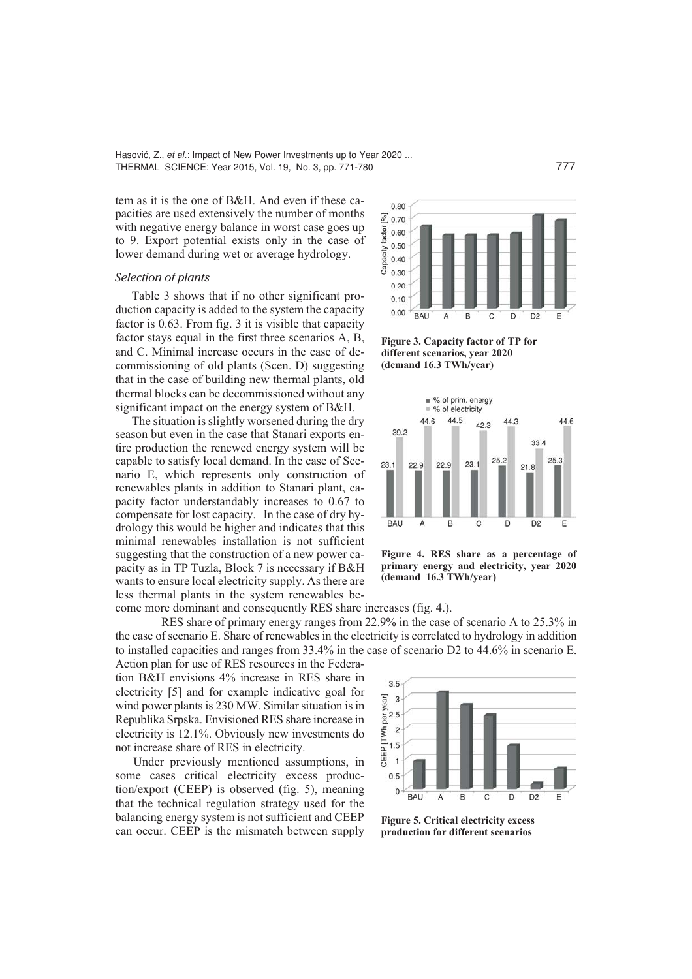tem as it is the one of B&H. And even if these capacities are used extensively the number of months with negative energy balance in worst case goes up to 9. Export potential exists only in the case of lower demand during wet or average hydrology.

## *Selection of plants*

Table 3 shows that if no other significant production capacity is added to the system the capacity factor is 0.63. From fig. 3 it is visible that capacity factor stays equal in the first three scenarios A, B, and C. Minimal increase occurs in the case of decommissioning of old plants (Scen. D) suggesting that in the case of building new thermal plants, old thermal blocks can be decommissioned without any significant impact on the energy system of B&H.

The situation is slightly worsened during the dry season but even in the case that Stanari exports entire production the renewed energy system will be capable to satisfy local demand. In the case of Scenario E, which represents only construction of renewables plants in addition to Stanari plant, capacity factor understandably increases to 0.67 to compensate for lost capacity. In the case of dry hydrology this would be higher and indicates that this minimal renewables installation is not sufficient suggesting that the construction of a new power capacity as in TP Tuzla, Block 7 is necessary if B&H wants to ensure local electricity supply. As there are less thermal plants in the system renewables become more dominant and consequently RES share increases (fig. 4.).

RES share of primary energy ranges from 22.9% in the case of scenario A to 25.3% in the case of scenario E. Share of renewables in the electricity is correlated to hydrology in addition to installed capacities and ranges from 33.4% in the case of scenario D2 to 44.6% in scenario E.

Action plan for use of RES resources in the Federation B&H envisions 4% increase in RES share in electricity [5] and for example indicative goal for wind power plants is 230 MW. Similar situation is in Republika Srpska. Envisioned RES share increase in electricity is 12.1%. Obviously new investments do not increase share of RES in electricity.

Under previously mentioned assumptions, in some cases critical electricity excess production/export (CEEP) is observed (fig. 5), meaning that the technical regulation strategy used for the balancing energy system is not sufficient and CEEP can occur. CEEP is the mismatch between supply



 $0.80$ 

**Figure 3. Capacity factor of TP for different scenarios, year 2020 (demand 16.3 TWh/year)**



**Figure 4. RES share as a percentage of primary energy and electricity, year 2020 (demand 16.3 TWh/year)**



**Figure 5. Critical electricity excess production for different scenarios**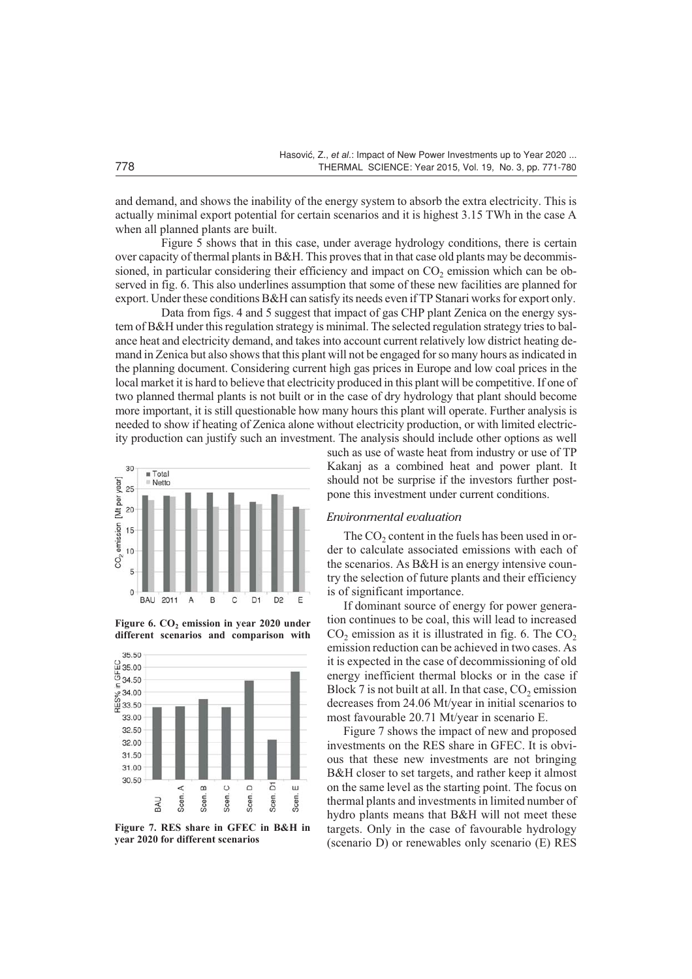and demand, and shows the inability of the energy system to absorb the extra electricity. This is actually minimal export potential for certain scenarios and it is highest 3.15 TWh in the case A when all planned plants are built.

Figure 5 shows that in this case, under average hydrology conditions, there is certain over capacity of thermal plants in B&H. This proves that in that case old plants may be decommissioned, in particular considering their efficiency and impact on  $CO<sub>2</sub>$  emission which can be observed in fig. 6. This also underlines assumption that some of these new facilities are planned for export. Under these conditions B&H can satisfy its needs even if TP Stanari works for export only.

Data from figs. 4 and 5 suggest that impact of gas CHP plant Zenica on the energy system of B&H under this regulation strategy is minimal. The selected regulation strategy tries to balance heat and electricity demand, and takes into account current relatively low district heating demand in Zenica but also shows that this plant will not be engaged for so many hours as indicated in the planning document. Considering current high gas prices in Europe and low coal prices in the local market it is hard to believe that electricity produced in this plant will be competitive. If one of two planned thermal plants is not built or in the case of dry hydrology that plant should become more important, it is still questionable how many hours this plant will operate. Further analysis is needed to show if heating of Zenica alone without electricity production, or with limited electricity production can justify such an investment. The analysis should include other options as well



Figure 6. CO<sub>2</sub> emission in year 2020 under **different scenarios and comparison with**



**Figure 7. RES share in GFEC in B&H in year 2020 for different scenarios**

such as use of waste heat from industry or use of TP Kakanj as a combined heat and power plant. It should not be surprise if the investors further postpone this investment under current conditions.

#### *Environmental evaluation*

The  $CO<sub>2</sub>$  content in the fuels has been used in order to calculate associated emissions with each of the scenarios. As B&H is an energy intensive country the selection of future plants and their efficiency is of significant importance.

If dominant source of energy for power generation continues to be coal, this will lead to increased  $CO<sub>2</sub>$  emission as it is illustrated in fig. 6. The  $CO<sub>2</sub>$ emission reduction can be achieved in two cases. As it is expected in the case of decommissioning of old energy inefficient thermal blocks or in the case if Block 7 is not built at all. In that case,  $CO<sub>2</sub>$  emission decreases from 24.06 Mt/year in initial scenarios to most favourable 20.71 Mt/year in scenario E.

Figure 7 shows the impact of new and proposed investments on the RES share in GFEC. It is obvious that these new investments are not bringing B&H closer to set targets, and rather keep it almost on the same level as the starting point. The focus on thermal plants and investments in limited number of hydro plants means that B&H will not meet these targets. Only in the case of favourable hydrology (scenario D) or renewables only scenario (E) RES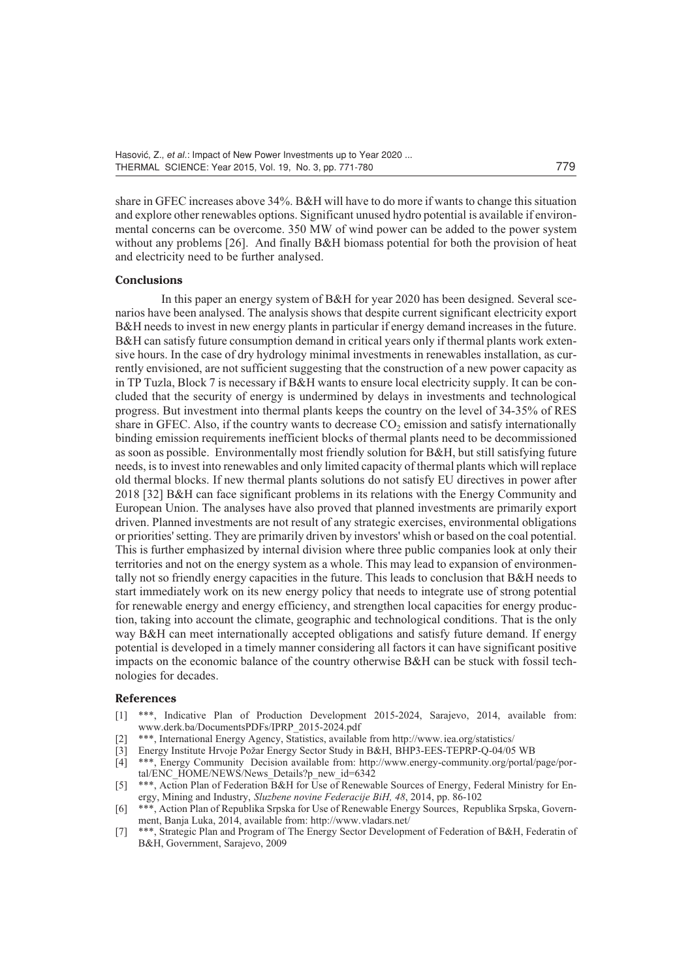share in GFEC increases above 34%. B&H will have to do more if wants to change this situation and explore other renewables options. Significant unused hydro potential is available if environmental concerns can be overcome. 350 MW of wind power can be added to the power system without any problems [26]. And finally B&H biomass potential for both the provision of heat and electricity need to be further analysed.

#### **Conclusions**

In this paper an energy system of B&H for year 2020 has been designed. Several scenarios have been analysed. The analysis shows that despite current significant electricity export B&H needs to invest in new energy plants in particular if energy demand increases in the future. B&H can satisfy future consumption demand in critical years only if thermal plants work extensive hours. In the case of dry hydrology minimal investments in renewables installation, as currently envisioned, are not sufficient suggesting that the construction of a new power capacity as in TP Tuzla, Block 7 is necessary if B&H wants to ensure local electricity supply. It can be concluded that the security of energy is undermined by delays in investments and technological progress. But investment into thermal plants keeps the country on the level of 34-35% of RES share in GFEC. Also, if the country wants to decrease  $CO<sub>2</sub>$  emission and satisfy internationally binding emission requirements inefficient blocks of thermal plants need to be decommissioned as soon as possible. Environmentally most friendly solution for B&H, but still satisfying future needs, is to invest into renewables and only limited capacity of thermal plants which will replace old thermal blocks. If new thermal plants solutions do not satisfy EU directives in power after 2018 [32] B&H can face significant problems in its relations with the Energy Community and European Union. The analyses have also proved that planned investments are primarily export driven. Planned investments are not result of any strategic exercises, environmental obligations or priorities' setting. They are primarily driven by investors' whish or based on the coal potential. This is further emphasized by internal division where three public companies look at only their territories and not on the energy system as a whole. This may lead to expansion of environmentally not so friendly energy capacities in the future. This leads to conclusion that B&H needs to start immediately work on its new energy policy that needs to integrate use of strong potential for renewable energy and energy efficiency, and strengthen local capacities for energy production, taking into account the climate, geographic and technological conditions. That is the only way B&H can meet internationally accepted obligations and satisfy future demand. If energy potential is developed in a timely manner considering all factors it can have significant positive impacts on the economic balance of the country otherwise B&H can be stuck with fossil technologies for decades.

#### **References**

- [1] \*\*\*, Indicative Plan of Production Development 2015-2024, Sarajevo, 2014, available from: www.derk.ba/DocumentsPDFs/IPRP\_2015-2024.pdf
- \*\*\*, International Energy Agency, Statistics, available from http://www.iea.org/statistics/<br>Energy Institute Hrvoje Požar Energy Sector Study in B&H, BHP3-EES-TEPRP-Q-04/05 WB
- [3] Energy Institute Hrvoje Požar Energy Sector Study in B&H, BHP3-EES-TEPRP-Q-04/05 WB
- [4] \*\*\*, Energy Community Decision available from: http://www.energy-community.org/portal/page/portal/ENC\_HOME/NEWS/News\_Details?p\_new\_id=6342
- [5] \*\*\*, Action Plan of Federation B&H for Use of Renewable Sources of Energy, Federal Ministry for Energy, Mining and Industry, *Sluzbene novine Federacije BiH, 48*, 2014, pp. 86-102
- [6] \*\*\*, Action Plan of Republika Srpska for Use of Renewable Energy Sources, Republika Srpska, Government, Banja Luka, 2014, available from: http://www.vladars.net/
- [7] \*\*\*, Strategic Plan and Program of The Energy Sector Development of Federation of B&H, Federatin of B&H, Government, Sarajevo, 2009